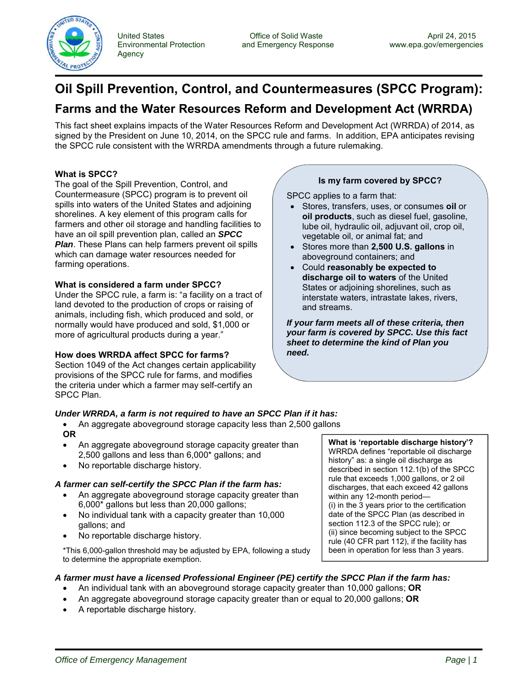

United States **Office of Solid Waste** Christen and Emergency Response April 24, 2015<br>Environmental Protection and Emergency Response www.epa.gov/emergencie Agency

# **Oil Spill Prevention, Control, and Countermeasures (SPCC Program):**

# **Farms and the Water Resources Reform and Development Act (WRRDA)**

This fact sheet explains impacts of the Water Resources Reform and Development Act (WRRDA) of 2014, as signed by the President on June 10, 2014, on the SPCC rule and farms. In addition, EPA anticipates revising the SPCC rule consistent with the WRRDA amendments through a future rulemaking.

## **What is SPCC?**

The goal of the Spill Prevention, Control, and Countermeasure (SPCC) program is to prevent oil spills into waters of the United States and adjoining shorelines. A key element of this program calls for farmers and other oil storage and handling facilities to have an oil spill prevention plan, called an *SPCC Plan*. These Plans can help farmers prevent oil spills which can damage water resources needed for farming operations.

### **What is considered a farm under SPCC?**

Under the SPCC rule, a farm is: "a facility on a tract of land devoted to the production of crops or raising of animals, including fish, which produced and sold, or normally would have produced and sold, \$1,000 or more of agricultural products during a year."

### **How does WRRDA affect SPCC for farms?**

Section 1049 of the Act changes certain applicability provisions of the SPCC rule for farms, and modifies the criteria under which a farmer may self-certify an SPCC Plan.

## **Is my farm covered by SPCC?**

SPCC applies to a farm that:

- Stores, transfers, uses, or consumes **oil** or **oil products**, such as diesel fuel, gasoline, lube oil, hydraulic oil, adjuvant oil, crop oil, vegetable oil, or animal fat; and
- Stores more than **2,500 U.S. gallons** in aboveground containers; and
- Could **reasonably be expected to discharge oil to waters** of the United States or adjoining shorelines, such as interstate waters, intrastate lakes, rivers, and streams.

*If your farm meets all of these criteria, then your farm is covered by SPCC. Use this fact sheet to determine the kind of Plan you need.*

### *Under WRRDA, a farm is not required to have an SPCC Plan if it has:*

- An aggregate aboveground storage capacity less than 2,500 gallons **OR**
- An aggregate aboveground storage capacity greater than 2,500 gallons and less than 6,000\* gallons; and
- No reportable discharge history.

### *A farmer can self-certify the SPCC Plan if the farm has:*

- An aggregate aboveground storage capacity greater than 6,000\* gallons but less than 20,000 gallons;
- No individual tank with a capacity greater than 10,000 gallons; and
- No reportable discharge history.

\*This 6,000-gallon threshold may be adjusted by EPA, following a study to determine the appropriate exemption.

### *A farmer must have a licensed Professional Engineer (PE) certify the SPCC Plan if the farm has:*

- An individual tank with an aboveground storage capacity greater than 10,000 gallons; **OR**
- An aggregate aboveground storage capacity greater than or equal to 20,000 gallons; **OR**
- A reportable discharge history.

WRRDA defines "reportable oil discharge history" as: a single oil discharge as described in section 112.1(b) of the SPCC rule that exceeds 1,000 gallons, or 2 oil discharges, that each exceed 42 gallons within any 12-month period— (i) in the 3 years prior to the certification date of the SPCC Plan (as described in section 112.3 of the SPCC rule); or (ii) since becoming subject to the SPCC rule (40 CFR part 112), if the facility has been in operation for less than 3 years.

**What is 'reportable discharge history'?**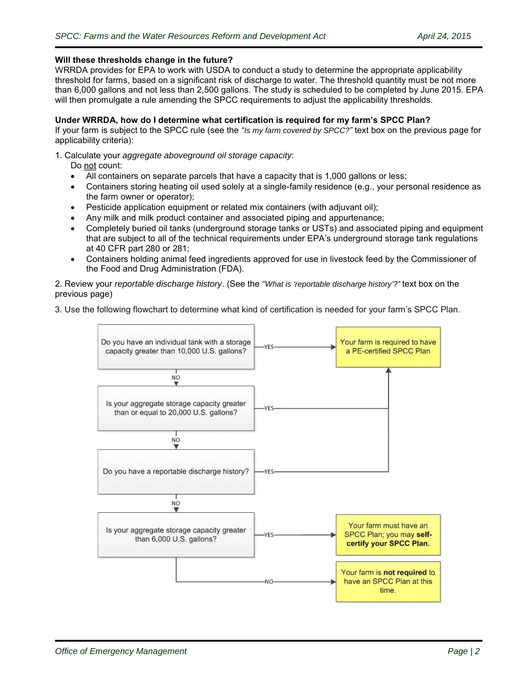#### **Will these thresholds change in the future?**

WRRDA provides for EPA to work with USDA to conduct a study to determine the appropriate applicability threshold for farms, based on a significant risk of discharge to water. The threshold quantity must be not more than 6,000 gallons and not less than 2,500 gallons. The study is scheduled to be completed by June 2015. EPA will then promulgate a rule amending the SPCC requirements to adjust the applicability thresholds.

#### **Under WRRDA, how do I determine what certification is required for my farm's SPCC Plan?**

If your farm is subject to the SPCC rule (see the *"Is my farm covered by SPCC?"* text box on the previous page for applicability criteria):

#### 1. Calculate your *aggregate aboveground oil storage capacity*:

Do not count:

- All containers on separate parcels that have a capacity that is 1,000 gallons or less;
- Containers storing heating oil used solely at a single-family residence (e.g., your personal residence as the farm owner or operator);
- Pesticide application equipment or related mix containers (with adjuvant oil);
- Any milk and milk product container and associated piping and appurtenance;
- Completely buried oil tanks (underground storage tanks or USTs) and associated piping and equipment that are subject to all of the technical requirements under EPA's underground storage tank regulations at 40 CFR part 280 or 281;
- Containers holding animal feed ingredients approved for use in livestock feed by the Commissioner of the Food and Drug Administration (FDA).

2. Review your *reportable discharge history*. (See the *"What is 'reportable discharge history'?"* text box on the previous page)

3. Use the following flowchart to determine what kind of certification is needed for your farm's SPCC Plan.